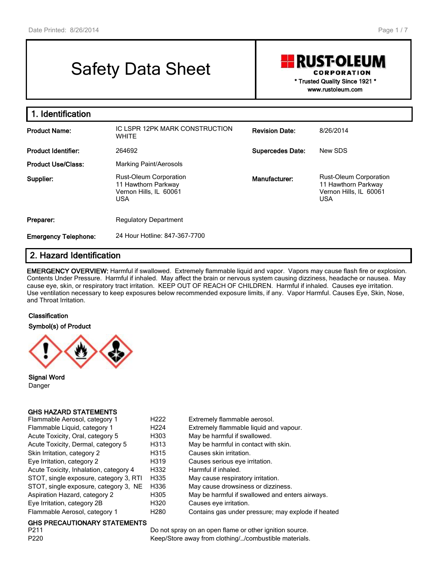# Safety Data Sheet

**RUST-OLEUM CORPORATION** 

> **\* Trusted Quality Since 1921 \* www.rustoleum.com**

| 1. Identification           |                                                                                       |                         |                                                                                       |
|-----------------------------|---------------------------------------------------------------------------------------|-------------------------|---------------------------------------------------------------------------------------|
| <b>Product Name:</b>        | IC LSPR 12PK MARK CONSTRUCTION<br><b>WHITE</b>                                        | <b>Revision Date:</b>   | 8/26/2014                                                                             |
| <b>Product Identifier:</b>  | 264692                                                                                | <b>Supercedes Date:</b> | New SDS                                                                               |
| <b>Product Use/Class:</b>   | Marking Paint/Aerosols                                                                |                         |                                                                                       |
| Supplier:                   | Rust-Oleum Corporation<br>11 Hawthorn Parkway<br>Vernon Hills, IL 60061<br><b>USA</b> | Manufacturer:           | Rust-Oleum Corporation<br>11 Hawthorn Parkway<br>Vernon Hills, IL 60061<br><b>USA</b> |
| Preparer:                   | <b>Regulatory Department</b>                                                          |                         |                                                                                       |
| <b>Emergency Telephone:</b> | 24 Hour Hotline: 847-367-7700                                                         |                         |                                                                                       |

# **2. Hazard Identification**

**EMERGENCY OVERVIEW:** Harmful if swallowed. Extremely flammable liquid and vapor. Vapors may cause flash fire or explosion. Contents Under Pressure. Harmful if inhaled. May affect the brain or nervous system causing dizziness, headache or nausea. May cause eye, skin, or respiratory tract irritation. KEEP OUT OF REACH OF CHILDREN. Harmful if inhaled. Causes eye irritation. Use ventilation necessary to keep exposures below recommended exposure limits, if any. Vapor Harmful. Causes Eye, Skin, Nose, and Throat Irritation.

#### **Classification**

**Symbol(s) of Product**



**Signal Word** Danger

#### **GHS HAZARD STATEMENTS**

| Flammable Aerosol, category 1          | H <sub>222</sub> | Extremely flammable aerosol.                       |
|----------------------------------------|------------------|----------------------------------------------------|
| Flammable Liquid, category 1           | H <sub>224</sub> | Extremely flammable liquid and vapour.             |
| Acute Toxicity, Oral, category 5       | H303             | May be harmful if swallowed.                       |
| Acute Toxicity, Dermal, category 5     | H313             | May be harmful in contact with skin.               |
| Skin Irritation, category 2            | H315             | Causes skin irritation.                            |
| Eye Irritation, category 2             | H319             | Causes serious eye irritation.                     |
| Acute Toxicity, Inhalation, category 4 | H332             | Harmful if inhaled.                                |
| STOT, single exposure, category 3, RTI | H335             | May cause respiratory irritation.                  |
| STOT, single exposure, category 3, NE  | H336             | May cause drowsiness or dizziness.                 |
| Aspiration Hazard, category 2          | H305             | May be harmful if swallowed and enters airways.    |
| Eye Irritation, category 2B            | H320             | Causes eve irritation.                             |
| Flammable Aerosol, category 1          | H <sub>280</sub> | Contains gas under pressure; may explode if heated |
|                                        |                  |                                                    |

# **GHS PRECAUTIONARY STATEMENTS**

Do not spray on an open flame or other ignition source. P220 **Keep/Store away from clothing/**.../combustible materials.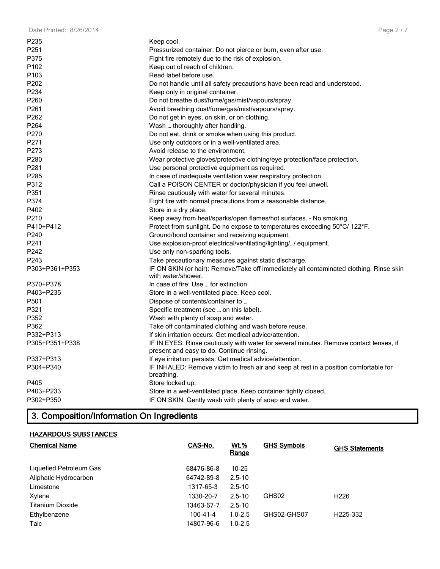| P235             | Keep cool.                                                                                                                          |
|------------------|-------------------------------------------------------------------------------------------------------------------------------------|
| P <sub>251</sub> | Pressurized container: Do not pierce or burn, even after use.                                                                       |
| P375             | Fight fire remotely due to the risk of explosion.                                                                                   |
| P <sub>102</sub> | Keep out of reach of children.                                                                                                      |
| P <sub>103</sub> | Read label before use.                                                                                                              |
| P202             | Do not handle until all safety precautions have been read and understood.                                                           |
| P234             | Keep only in original container.                                                                                                    |
| P <sub>260</sub> | Do not breathe dust/fume/gas/mist/vapours/spray.                                                                                    |
| P261             | Avoid breathing dust/fume/gas/mist/vapours/spray.                                                                                   |
| P <sub>262</sub> | Do not get in eyes, on skin, or on clothing.                                                                                        |
| P264             | Wash  thoroughly after handling.                                                                                                    |
| P270             | Do not eat, drink or smoke when using this product.                                                                                 |
| P271             | Use only outdoors or in a well-ventilated area.                                                                                     |
| P273             | Avoid release to the environment.                                                                                                   |
| P280             | Wear protective gloves/protective clothing/eye protection/face protection.                                                          |
| P <sub>281</sub> | Use personal protective equipment as required.                                                                                      |
| P <sub>285</sub> | In case of inadequate ventilation wear respiratory protection.                                                                      |
| P312             | Call a POISON CENTER or doctor/physician if you feel unwell.                                                                        |
| P351             | Rinse cautiously with water for several minutes.                                                                                    |
| P374             | Fight fire with normal precautions from a reasonable distance.                                                                      |
| P402             | Store in a dry place.                                                                                                               |
| P210             | Keep away from heat/sparks/open flames/hot surfaces. - No smoking.                                                                  |
| P410+P412        | Protect from sunlight. Do no expose to temperatures exceeding 50°C/ 122°F.                                                          |
| P240             | Ground/bond container and receiving equipment.                                                                                      |
| P241             | Use explosion-proof electrical/ventilating/lighting// equipment.                                                                    |
| P242             | Use only non-sparking tools.                                                                                                        |
| P243             | Take precautionary measures against static discharge.                                                                               |
| P303+P361+P353   | IF ON SKIN (or hair): Remove/Take off immediately all contaminated clothing. Rinse skin<br>with water/shower.                       |
| P370+P378        | In case of fire: Use  for extinction.                                                                                               |
| P403+P235        | Store in a well-ventilated place. Keep cool.                                                                                        |
| P501             | Dispose of contents/container to                                                                                                    |
| P321             | Specific treatment (see  on this label).                                                                                            |
| P352             | Wash with plenty of soap and water.                                                                                                 |
| P362             | Take off contaminated clothing and wash before reuse.                                                                               |
| P332+P313        | If skin irritation occurs: Get medical advice/attention.                                                                            |
| P305+P351+P338   | IF IN EYES: Rinse cautiously with water for several minutes. Remove contact lenses, if<br>present and easy to do. Continue rinsing. |
| P337+P313        | If eye irritation persists: Get medical advice/attention.                                                                           |
| P304+P340        | IF INHALED: Remove victim to fresh air and keep at rest in a position comfortable for<br>breathing.                                 |
| P405             | Store locked up.                                                                                                                    |
| P403+P233        | Store in a well-ventilated place. Keep container tightly closed.                                                                    |
| P302+P350        | IF ON SKIN: Gently wash with plenty of soap and water.                                                                              |

# **3. Composition/Information On Ingredients**

# **HAZARDOUS SUBSTANCES**

| <b>Chemical Name</b>    | CAS-No.    | <b>Wt.%</b><br><u>Range</u> | <b>GHS Symbols</b> | <b>GHS Statements</b> |
|-------------------------|------------|-----------------------------|--------------------|-----------------------|
| Liquefied Petroleum Gas | 68476-86-8 | $10 - 25$                   |                    |                       |
| Aliphatic Hydrocarbon   | 64742-89-8 | $2.5 - 10$                  |                    |                       |
| Limestone               | 1317-65-3  | $2.5 - 10$                  |                    |                       |
| Xylene                  | 1330-20-7  | $2.5 - 10$                  | GHS02              | H <sub>226</sub>      |
| <b>Titanium Dioxide</b> | 13463-67-7 | $2.5 - 10$                  |                    |                       |
| Ethylbenzene            | 100-41-4   | $1.0 - 2.5$                 | GHS02-GHS07        | H <sub>225</sub> -332 |
| Talc                    | 14807-96-6 | $1.0 - 2.5$                 |                    |                       |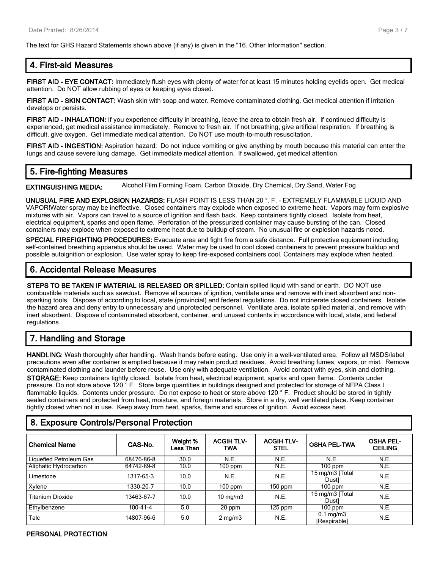The text for GHS Hazard Statements shown above (if any) is given in the "16. Other Information" section.

# **4. First-aid Measures**

**FIRST AID - EYE CONTACT:** Immediately flush eyes with plenty of water for at least 15 minutes holding eyelids open. Get medical attention. Do NOT allow rubbing of eyes or keeping eyes closed.

**FIRST AID - SKIN CONTACT:** Wash skin with soap and water. Remove contaminated clothing. Get medical attention if irritation develops or persists.

**FIRST AID - INHALATION:** If you experience difficulty in breathing, leave the area to obtain fresh air. If continued difficulty is experienced, get medical assistance immediately. Remove to fresh air. If not breathing, give artificial respiration. If breathing is difficult, give oxygen. Get immediate medical attention. Do NOT use mouth-to-mouth resuscitation.

**FIRST AID - INGESTION:** Aspiration hazard: Do not induce vomiting or give anything by mouth because this material can enter the lungs and cause severe lung damage. Get immediate medical attention. If swallowed, get medical attention.

# **5. Fire-fighting Measures**

**EXTINGUISHING MEDIA:** Alcohol Film Forming Foam, Carbon Dioxide, Dry Chemical, Dry Sand, Water Fog

**UNUSUAL FIRE AND EXPLOSION HAZARDS:** FLASH POINT IS LESS THAN 20 °. F. - EXTREMELY FLAMMABLE LIQUID AND VAPOR!Water spray may be ineffective. Closed containers may explode when exposed to extreme heat. Vapors may form explosive mixtures with air. Vapors can travel to a source of ignition and flash back. Keep containers tightly closed. Isolate from heat, electrical equipment, sparks and open flame. Perforation of the pressurized container may cause bursting of the can. Closed containers may explode when exposed to extreme heat due to buildup of steam. No unusual fire or explosion hazards noted.

**SPECIAL FIREFIGHTING PROCEDURES:** Evacuate area and fight fire from a safe distance. Full protective equipment including self-contained breathing apparatus should be used. Water may be used to cool closed containers to prevent pressure buildup and possible autoignition or explosion. Use water spray to keep fire-exposed containers cool. Containers may explode when heated.

# **6. Accidental Release Measures**

**STEPS TO BE TAKEN IF MATERIAL IS RELEASED OR SPILLED:** Contain spilled liquid with sand or earth. DO NOT use combustible materials such as sawdust. Remove all sources of ignition, ventilate area and remove with inert absorbent and nonsparking tools. Dispose of according to local, state (provincial) and federal regulations. Do not incinerate closed containers. Isolate the hazard area and deny entry to unnecessary and unprotected personnel. Ventilate area, isolate spilled material, and remove with inert absorbent. Dispose of contaminated absorbent, container, and unused contents in accordance with local, state, and federal regulations.

# **7. Handling and Storage**

**HANDLING:** Wash thoroughly after handling. Wash hands before eating. Use only in a well-ventilated area. Follow all MSDS/label precautions even after container is emptied because it may retain product residues. Avoid breathing fumes, vapors, or mist. Remove contaminated clothing and launder before reuse. Use only with adequate ventilation. Avoid contact with eyes, skin and clothing. **STORAGE:** Keep containers tightly closed. Isolate from heat, electrical equipment, sparks and open flame. Contents under pressure. Do not store above 120 ° F. Store large quantities in buildings designed and protected for storage of NFPA Class I flammable liquids. Contents under pressure. Do not expose to heat or store above 120 °F. Product should be stored in tightly sealed containers and protected from heat, moisture, and foreign materials. Store in a dry, well ventilated place. Keep container tightly closed when not in use. Keep away from heat, sparks, flame and sources of ignition. Avoid excess heat.

# **8. Exposure Controls/Personal Protection**

| <b>Chemical Name</b>    | CAS-No.    | Weight %<br>Less Than | <b>ACGIH TLV-</b><br>TWA | <b>ACGIH TLV-</b><br><b>STEL</b> | <b>OSHA PEL-TWA</b>                | <b>OSHA PEL-</b><br><b>CEILING</b> |
|-------------------------|------------|-----------------------|--------------------------|----------------------------------|------------------------------------|------------------------------------|
| Liquefied Petroleum Gas | 68476-86-8 | 30.0                  | N.E.                     | N.E.                             | N.E.                               | N.E.                               |
| Aliphatic Hydrocarbon   | 64742-89-8 | 10.0                  | 100 ppm                  | N.E.                             | $100$ ppm                          | N.E.                               |
| Limestone               | 1317-65-3  | 10.0                  | N.E.                     | N.E.                             | 15 mg/m3 [Total]<br>Dustl          | N.E.                               |
| Xvlene                  | 1330-20-7  | 10.0                  | $100$ ppm                | 150 ppm                          | $100$ ppm                          | N.E.                               |
| Titanium Dioxide        | 13463-67-7 | 10.0                  | $10 \text{ mg/m}$        | N.E.                             | 15 mg/m3 [Total]<br>Dustl          | N.E.                               |
| Ethylbenzene            | 100-41-4   | 5.0                   | 20 ppm                   | $\overline{1}25$ ppm             | 100 ppm                            | N.E.                               |
| Talc                    | 14807-96-6 | 5.0                   | $2 \text{ mg/m}$         | N.E.                             | $0.1 \text{ mg/m}$<br>[Respirable] | N.E.                               |

#### **PERSONAL PROTECTION**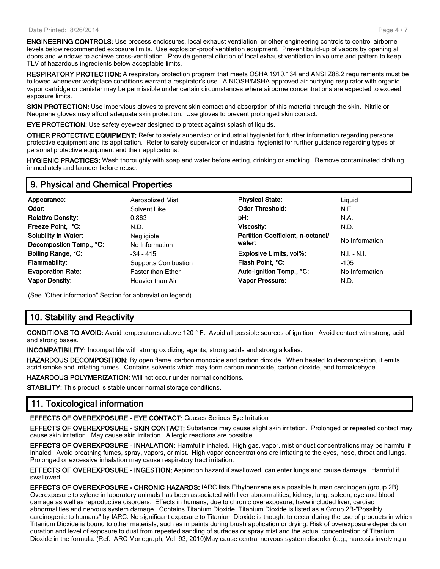**ENGINEERING CONTROLS:** Use process enclosures, local exhaust ventilation, or other engineering controls to control airborne levels below recommended exposure limits. Use explosion-proof ventilation equipment. Prevent build-up of vapors by opening all doors and windows to achieve cross-ventilation. Provide general dilution of local exhaust ventilation in volume and pattern to keep TLV of hazardous ingredients below acceptable limits.

**RESPIRATORY PROTECTION:** A respiratory protection program that meets OSHA 1910.134 and ANSI Z88.2 requirements must be followed whenever workplace conditions warrant a respirator's use. A NIOSH/MSHA approved air purifying respirator with organic vapor cartridge or canister may be permissible under certain circumstances where airborne concentrations are expected to exceed exposure limits.

**SKIN PROTECTION:** Use impervious gloves to prevent skin contact and absorption of this material through the skin. Nitrile or Neoprene gloves may afford adequate skin protection. Use gloves to prevent prolonged skin contact.

**EYE PROTECTION:** Use safety eyewear designed to protect against splash of liquids.

**OTHER PROTECTIVE EQUIPMENT:** Refer to safety supervisor or industrial hygienist for further information regarding personal protective equipment and its application. Refer to safety supervisor or industrial hygienist for further guidance regarding types of personal protective equipment and their applications.

**HYGIENIC PRACTICES:** Wash thoroughly with soap and water before eating, drinking or smoking. Remove contaminated clothing immediately and launder before reuse.

# **9. Physical and Chemical Properties**

| Appearance:<br>Odor:<br><b>Relative Density:</b> | Aerosolized Mist<br>Solvent Like<br>0.863 | <b>Physical State:</b><br><b>Odor Threshold:</b><br>pH: | Liguid<br>N.E.<br>N.A. |
|--------------------------------------------------|-------------------------------------------|---------------------------------------------------------|------------------------|
| Freeze Point, °C:                                | N.D.                                      | Viscosity:                                              | N.D.                   |
| <b>Solubility in Water:</b>                      | <b>Negligible</b>                         | Partition Coefficient, n-octanol/                       | No Information         |
| Decompostion Temp., °C:                          | No Information                            | water:                                                  |                        |
| Boiling Range, °C:                               | $-34 - 415$                               | Explosive Limits, vol%:                                 | $N.I. - N.I.$          |
| Flammability:                                    | <b>Supports Combustion</b>                | Flash Point, °C:                                        | $-105$                 |
| <b>Evaporation Rate:</b>                         | <b>Faster than Ether</b>                  | Auto-ignition Temp., °C:                                | No Information         |
| <b>Vapor Density:</b>                            | Heavier than Air                          | Vapor Pressure:                                         | N.D.                   |

(See "Other information" Section for abbreviation legend)

# **10. Stability and Reactivity**

**CONDITIONS TO AVOID:** Avoid temperatures above 120 ° F. Avoid all possible sources of ignition. Avoid contact with strong acid and strong bases.

**INCOMPATIBILITY:** Incompatible with strong oxidizing agents, strong acids and strong alkalies.

**HAZARDOUS DECOMPOSITION:** By open flame, carbon monoxide and carbon dioxide. When heated to decomposition, it emits acrid smoke and irritating fumes. Contains solvents which may form carbon monoxide, carbon dioxide, and formaldehyde.

**HAZARDOUS POLYMERIZATION:** Will not occur under normal conditions.

**STABILITY:** This product is stable under normal storage conditions.

# **11. Toxicological information**

**EFFECTS OF OVEREXPOSURE - EYE CONTACT:** Causes Serious Eye Irritation

**EFFECTS OF OVEREXPOSURE - SKIN CONTACT:** Substance may cause slight skin irritation. Prolonged or repeated contact may cause skin irritation. May cause skin irritation. Allergic reactions are possible.

**EFFECTS OF OVEREXPOSURE - INHALATION:** Harmful if inhaled. High gas, vapor, mist or dust concentrations may be harmful if inhaled. Avoid breathing fumes, spray, vapors, or mist. High vapor concentrations are irritating to the eyes, nose, throat and lungs. Prolonged or excessive inhalation may cause respiratory tract irritation.

**EFFECTS OF OVEREXPOSURE - INGESTION:** Aspiration hazard if swallowed; can enter lungs and cause damage. Harmful if swallowed.

**EFFECTS OF OVEREXPOSURE - CHRONIC HAZARDS:** IARC lists Ethylbenzene as a possible human carcinogen (group 2B). Overexposure to xylene in laboratory animals has been associated with liver abnormalities, kidney, lung, spleen, eye and blood damage as well as reproductive disorders. Effects in humans, due to chronic overexposure, have included liver, cardiac abnormalities and nervous system damage. Contains Titanium Dioxide. Titanium Dioxide is listed as a Group 2B-"Possibly carcinogenic to humans" by IARC. No significant exposure to Titanium Dioxide is thought to occur during the use of products in which Titanium Dioxide is bound to other materials, such as in paints during brush application or drying. Risk of overexposure depends on duration and level of exposure to dust from repeated sanding of surfaces or spray mist and the actual concentration of Titanium Dioxide in the formula. (Ref: IARC Monograph, Vol. 93, 2010)May cause central nervous system disorder (e.g., narcosis involving a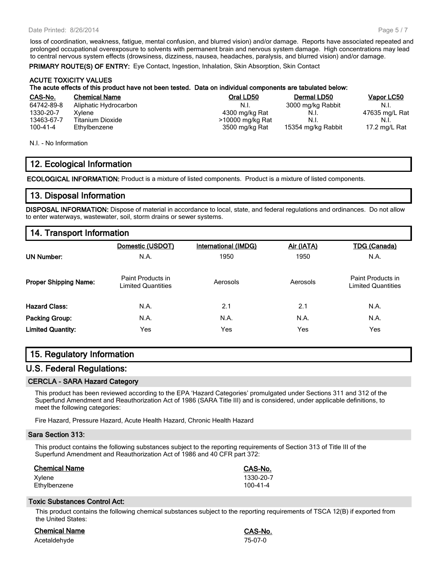#### Date Printed: 8/26/2014

loss of coordination, weakness, fatigue, mental confusion, and blurred vision) and/or damage. Reports have associated repeated and prolonged occupational overexposure to solvents with permanent brain and nervous system damage. High concentrations may lead to central nervous system effects (drowsiness, dizziness, nausea, headaches, paralysis, and blurred vision) and/or damage.

**PRIMARY ROUTE(S) OF ENTRY:** Eye Contact, Ingestion, Inhalation, Skin Absorption, Skin Contact

#### **ACUTE TOXICITY VALUES**

#### **The acute effects of this product have not been tested. Data on individual components are tabulated below:**

| CAS-No.    | <b>Chemical Name</b>  | Oral LD50        | Dermal LD50        | Vapor LC50     |
|------------|-----------------------|------------------|--------------------|----------------|
| 64742-89-8 | Aliphatic Hydrocarbon | - N.I.           | 3000 mg/kg Rabbit  | - N.I.         |
| 1330-20-7  | Xvlene                | 4300 mg/kg Rat   | N.I.               | 47635 mg/L Rat |
| 13463-67-7 | Titanium Dioxide      | >10000 mg/kg Rat | N.I.               | - N.I.         |
| 100-41-4   | Ethylbenzene          | 3500 mg/kg Rat   | 15354 mg/kg Rabbit | 17.2 mg/L Rat  |

N.I. - No Information

# **12. Ecological Information**

**ECOLOGICAL INFORMATION:** Product is a mixture of listed components. Product is a mixture of listed components.

# **13. Disposal Information**

**DISPOSAL INFORMATION:** Dispose of material in accordance to local, state, and federal regulations and ordinances. Do not allow to enter waterways, wastewater, soil, storm drains or sewer systems.

# **14. Transport Information**

|                              | Domestic (USDOT)                        | <b>International (IMDG)</b> | Air (IATA) | <b>TDG (Canada)</b>                            |
|------------------------------|-----------------------------------------|-----------------------------|------------|------------------------------------------------|
| UN Number:                   | N.A.                                    | 1950                        | 1950       | N.A.                                           |
| <b>Proper Shipping Name:</b> | Paint Products in<br>Limited Quantities | Aerosols                    | Aerosols   | Paint Products in<br><b>Limited Quantities</b> |
| <b>Hazard Class:</b>         | N.A.                                    | 2.1                         | 2.1        | N.A.                                           |
| <b>Packing Group:</b>        | N.A.                                    | N.A.                        | N.A.       | N.A.                                           |
| <b>Limited Quantity:</b>     | Yes                                     | Yes                         | Yes        | Yes                                            |

# **15. Regulatory Information**

# **U.S. Federal Regulations:**

### **CERCLA - SARA Hazard Category**

This product has been reviewed according to the EPA 'Hazard Categories' promulgated under Sections 311 and 312 of the Superfund Amendment and Reauthorization Act of 1986 (SARA Title III) and is considered, under applicable definitions, to meet the following categories:

Fire Hazard, Pressure Hazard, Acute Health Hazard, Chronic Health Hazard

#### **Sara Section 313:**

This product contains the following substances subject to the reporting requirements of Section 313 of Title III of the Superfund Amendment and Reauthorization Act of 1986 and 40 CFR part 372:

| <b>Chemical Name</b> | CAS-No.   |
|----------------------|-----------|
| Xylene               | 1330-20-7 |
| Ethylbenzene         | 100-41-4  |

#### **Toxic Substances Control Act:**

This product contains the following chemical substances subject to the reporting requirements of TSCA 12(B) if exported from the United States:

| Chemical Name | <b>CAS-No.</b> |
|---------------|----------------|
| Acetaldehyde  | 75-07-0        |

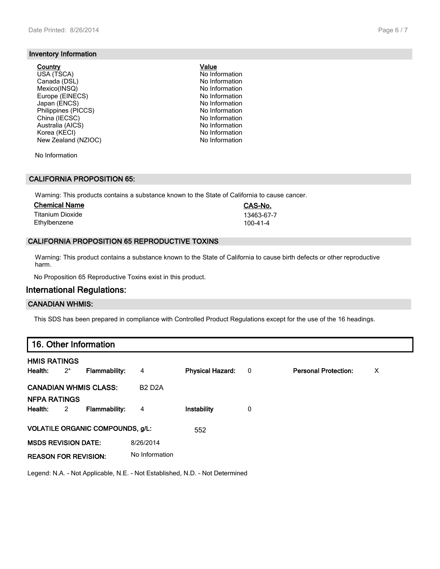### **Inventory Information**

#### **Country Value**

USA (TSCA) No Information Canada (DSL) No Information Mexico(INSQ) Mexico(INSQ) No Information<br>Europe (EINECS) No Information Europe (EINECS) Japan (ENCS) (Solid Communication of the UNIT) No Information No Information No Information No Information No Information No Information No Information No Information No Information No Information No Information No Informa Philippines (PICCS) No Information<br>
China (IECSC) No Information<br>
No Information China (IECSC) Australia (AICS) No Information Korea (KECI) No Information New Zealand (NZIOC) No Information

No Information

#### **CALIFORNIA PROPOSITION 65:**

Warning: This products contains a substance known to the State of California to cause cancer.

| <b>Chemical Name</b> | CAS-No.    |
|----------------------|------------|
| Titanium Dioxide     | 13463-67-7 |
| Ethylbenzene         | 100-41-4   |

#### **CALIFORNIA PROPOSITION 65 REPRODUCTIVE TOXINS**

Warning: This product contains a substance known to the State of California to cause birth defects or other reproductive harm.

No Proposition 65 Reproductive Toxins exist in this product.

# **International Regulations:**

#### **CANADIAN WHMIS:**

This SDS has been prepared in compliance with Controlled Product Regulations except for the use of the 16 headings.

| 16. Other Information          |       |                                         |                |                         |     |                             |   |
|--------------------------------|-------|-----------------------------------------|----------------|-------------------------|-----|-----------------------------|---|
| <b>HMIS RATINGS</b><br>Health: | $2^*$ | <b>Flammability:</b>                    | 4              | <b>Physical Hazard:</b> | - 0 | <b>Personal Protection:</b> | X |
| <b>CANADIAN WHMIS CLASS:</b>   |       |                                         | <b>B2 D2A</b>  |                         |     |                             |   |
| <b>NFPA RATINGS</b><br>Health: | 2     | <b>Flammability:</b>                    | 4              | Instability             | 0   |                             |   |
|                                |       | <b>VOLATILE ORGANIC COMPOUNDS, g/L:</b> |                | 552                     |     |                             |   |
| <b>MSDS REVISION DATE:</b>     |       |                                         | 8/26/2014      |                         |     |                             |   |
| <b>REASON FOR REVISION:</b>    |       |                                         | No Information |                         |     |                             |   |

Legend: N.A. - Not Applicable, N.E. - Not Established, N.D. - Not Determined